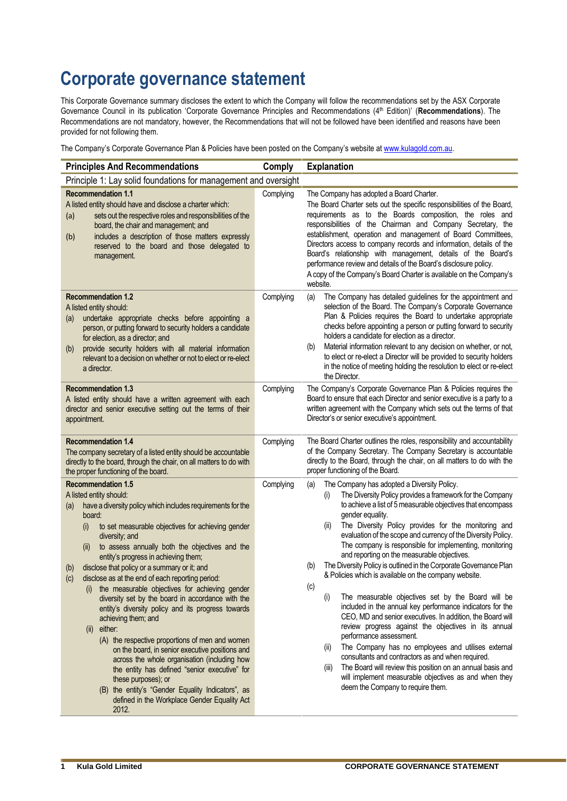## **Corporate governance statement**

This Corporate Governance summary discloses the extent to which the Company will follow the recommendations set by the ASX Corporate<br>Governance Council in its publication 'Corporate Governance Principles and Recommendatio This corporate covernance summary discloses the extent to which the company will lolive the recommendations set by the RoX corporate Governance Polyton ( $Q$ <sup>th</sup> Edition)' (**Recommendations**). The Recommendations are not m provided for not following them.<br>Recommendations are not mandato<br>provided for not following them.

rovided for not following them.<br>he Company's Corporate Governance Plan & Policies have been posted on the Company's website at <u>www.kulagold.com.au</u>.

| The Company's Corporate Governance Plan & Policies have been posted on the Company's website at www.kulagold.com.au.                                                                                                                                                                                                                                                                                                                                                                                                                                                                                                                                                                                                                                                                                                                                                                                                                                                                          |           |                                                                                                                                                                                                                                                                                                                                                                                                                                                                                                                                                                                                                                                                                                                                                                                                                                                                                                                                                                                                                                                                                                                                                                     |
|-----------------------------------------------------------------------------------------------------------------------------------------------------------------------------------------------------------------------------------------------------------------------------------------------------------------------------------------------------------------------------------------------------------------------------------------------------------------------------------------------------------------------------------------------------------------------------------------------------------------------------------------------------------------------------------------------------------------------------------------------------------------------------------------------------------------------------------------------------------------------------------------------------------------------------------------------------------------------------------------------|-----------|---------------------------------------------------------------------------------------------------------------------------------------------------------------------------------------------------------------------------------------------------------------------------------------------------------------------------------------------------------------------------------------------------------------------------------------------------------------------------------------------------------------------------------------------------------------------------------------------------------------------------------------------------------------------------------------------------------------------------------------------------------------------------------------------------------------------------------------------------------------------------------------------------------------------------------------------------------------------------------------------------------------------------------------------------------------------------------------------------------------------------------------------------------------------|
| <b>Principles And Recommendations</b>                                                                                                                                                                                                                                                                                                                                                                                                                                                                                                                                                                                                                                                                                                                                                                                                                                                                                                                                                         | Comply    | <b>Explanation</b>                                                                                                                                                                                                                                                                                                                                                                                                                                                                                                                                                                                                                                                                                                                                                                                                                                                                                                                                                                                                                                                                                                                                                  |
| Principle 1: Lay solid foundations for management and oversight<br><b>Recommendation 1.1</b>                                                                                                                                                                                                                                                                                                                                                                                                                                                                                                                                                                                                                                                                                                                                                                                                                                                                                                  | Complying | The Company has adopted a Board Charter.                                                                                                                                                                                                                                                                                                                                                                                                                                                                                                                                                                                                                                                                                                                                                                                                                                                                                                                                                                                                                                                                                                                            |
| A listed entity should have and disclose a charter which:<br>sets out the respective roles and responsibilities of the<br>(a)<br>board, the chair and management; and<br>includes a description of those matters expressly<br>(b)<br>reserved to the board and those delegated to<br>management.                                                                                                                                                                                                                                                                                                                                                                                                                                                                                                                                                                                                                                                                                              |           | The Board Charter sets out the specific responsibilities of the Board,<br>requirements as to the Boards composition, the roles and<br>responsibilities of the Chairman and Company Secretary, the<br>establishment, operation and management of Board Committees,<br>Directors access to company records and information, details of the<br>Board's relationship with management, details of the Board's<br>performance review and details of the Board's disclosure policy.<br>A copy of the Company's Board Charter is available on the Company's<br>website.                                                                                                                                                                                                                                                                                                                                                                                                                                                                                                                                                                                                     |
| <b>Recommendation 1.2</b><br>A listed entity should:<br>undertake appropriate checks before appointing a<br>(a)<br>person, or putting forward to security holders a candidate<br>for election, as a director; and<br>provide security holders with all material information<br>(b)<br>relevant to a decision on whether or not to elect or re-elect<br>a director.                                                                                                                                                                                                                                                                                                                                                                                                                                                                                                                                                                                                                            | Complying | The Company has detailed guidelines for the appointment and<br>(a)<br>selection of the Board. The Company's Corporate Governance<br>Plan & Policies requires the Board to undertake appropriate<br>checks before appointing a person or putting forward to security<br>holders a candidate for election as a director.<br>Material information relevant to any decision on whether, or not,<br>(b)<br>to elect or re-elect a Director will be provided to security holders<br>in the notice of meeting holding the resolution to elect or re-elect<br>the Director.                                                                                                                                                                                                                                                                                                                                                                                                                                                                                                                                                                                                 |
| <b>Recommendation 1.3</b><br>A listed entity should have a written agreement with each<br>director and senior executive setting out the terms of their<br>appointment.                                                                                                                                                                                                                                                                                                                                                                                                                                                                                                                                                                                                                                                                                                                                                                                                                        | Complying | The Company's Corporate Governance Plan & Policies requires the<br>Board to ensure that each Director and senior executive is a party to a<br>written agreement with the Company which sets out the terms of that<br>Director's or senior executive's appointment.                                                                                                                                                                                                                                                                                                                                                                                                                                                                                                                                                                                                                                                                                                                                                                                                                                                                                                  |
| <b>Recommendation 1.4</b><br>The company secretary of a listed entity should be accountable<br>directly to the board, through the chair, on all matters to do with<br>the proper functioning of the board.                                                                                                                                                                                                                                                                                                                                                                                                                                                                                                                                                                                                                                                                                                                                                                                    | Complying | The Board Charter outlines the roles, responsibility and accountability<br>of the Company Secretary. The Company Secretary is accountable<br>directly to the Board, through the chair, on all matters to do with the<br>proper functioning of the Board.                                                                                                                                                                                                                                                                                                                                                                                                                                                                                                                                                                                                                                                                                                                                                                                                                                                                                                            |
| <b>Recommendation 1.5</b><br>A listed entity should:<br>have a diversity policy which includes requirements for the<br>(a)<br>board:<br>to set measurable objectives for achieving gender<br>(i)<br>diversity; and<br>to assess annually both the objectives and the<br>(II)<br>entity's progress in achieving them;<br>disclose that policy or a summary or it; and<br>(b)<br>disclose as at the end of each reporting period:<br>(c)<br>the measurable objectives for achieving gender<br>(1)<br>diversity set by the board in accordance with the<br>entity's diversity policy and its progress towards<br>achieving them; and<br>(ii) either:<br>(A) the respective proportions of men and women<br>on the board, in senior executive positions and<br>across the whole organisation (including how<br>the entity has defined "senior executive" for<br>these purposes); or<br>(B) the entity's "Gender Equality Indicators", as<br>defined in the Workplace Gender Equality Act<br>2012. | Complying | The Company has adopted a Diversity Policy.<br>(a)<br>The Diversity Policy provides a framework for the Company<br>(i)<br>to achieve a list of 5 measurable objectives that encompass<br>gender equality.<br>The Diversity Policy provides for the monitoring and<br>(ii)<br>evaluation of the scope and currency of the Diversity Policy.<br>The company is responsible for implementing, monitoring<br>and reporting on the measurable objectives.<br>The Diversity Policy is outlined in the Corporate Governance Plan<br>(b)<br>& Policies which is available on the company website.<br>(c)<br>The measurable objectives set by the Board will be<br>(i)<br>included in the annual key performance indicators for the<br>CEO, MD and senior executives. In addition, the Board will<br>review progress against the objectives in its annual<br>performance assessment.<br>The Company has no employees and utilises external<br>(ii)<br>consultants and contractors as and when required.<br>The Board will review this position on an annual basis and<br>(III)<br>will implement measurable objectives as and when they<br>deem the Company to require them. |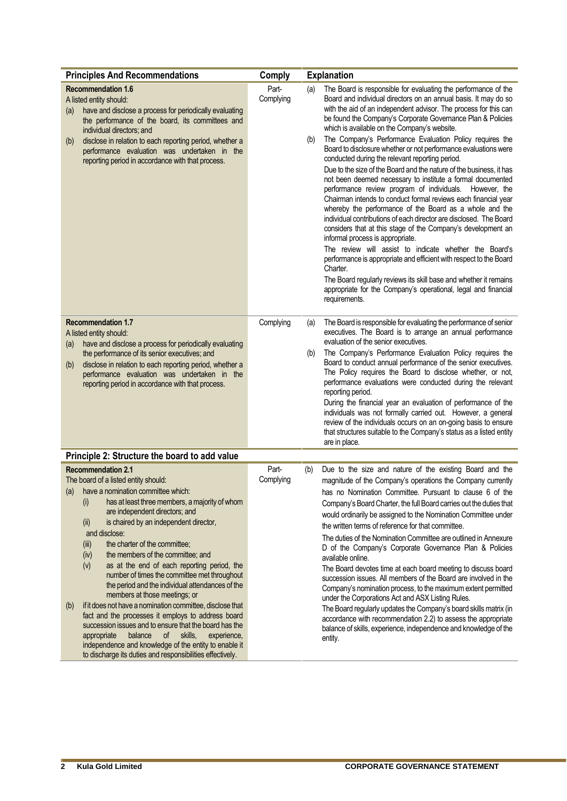| <b>Principles And Recommendations</b>                                                                                                                                                                                                                                                                                                                                                                                                                                                                                                                                                                                                                                                                                                                                                                                                                                                                                              | Comply             | <b>Explanation</b>                                                                                                                                                                                                                                                                                                                                                                                                                                                                                                                                                                                                                                                                                                                                                                                                                                                                                                                                                                                                                                                                                                                                                                                                                                                                                                              |
|------------------------------------------------------------------------------------------------------------------------------------------------------------------------------------------------------------------------------------------------------------------------------------------------------------------------------------------------------------------------------------------------------------------------------------------------------------------------------------------------------------------------------------------------------------------------------------------------------------------------------------------------------------------------------------------------------------------------------------------------------------------------------------------------------------------------------------------------------------------------------------------------------------------------------------|--------------------|---------------------------------------------------------------------------------------------------------------------------------------------------------------------------------------------------------------------------------------------------------------------------------------------------------------------------------------------------------------------------------------------------------------------------------------------------------------------------------------------------------------------------------------------------------------------------------------------------------------------------------------------------------------------------------------------------------------------------------------------------------------------------------------------------------------------------------------------------------------------------------------------------------------------------------------------------------------------------------------------------------------------------------------------------------------------------------------------------------------------------------------------------------------------------------------------------------------------------------------------------------------------------------------------------------------------------------|
| <b>Recommendation 1.6</b><br>A listed entity should:<br>have and disclose a process for periodically evaluating<br>(a)<br>the performance of the board, its committees and<br>individual directors; and<br>disclose in relation to each reporting period, whether a<br>(b)<br>performance evaluation was undertaken in the<br>reporting period in accordance with that process.                                                                                                                                                                                                                                                                                                                                                                                                                                                                                                                                                    | Part-<br>Complying | The Board is responsible for evaluating the performance of the<br>(a)<br>Board and individual directors on an annual basis. It may do so<br>with the aid of an independent advisor. The process for this can<br>be found the Company's Corporate Governance Plan & Policies<br>which is available on the Company's website.<br>The Company's Performance Evaluation Policy requires the<br>(b)<br>Board to disclosure whether or not performance evaluations were<br>conducted during the relevant reporting period.<br>Due to the size of the Board and the nature of the business, it has<br>not been deemed necessary to institute a formal documented<br>performance review program of individuals. However, the<br>Chairman intends to conduct formal reviews each financial year<br>whereby the performance of the Board as a whole and the<br>individual contributions of each director are disclosed. The Board<br>considers that at this stage of the Company's development an<br>informal process is appropriate.<br>The review will assist to indicate whether the Board's<br>performance is appropriate and efficient with respect to the Board<br>Charter.<br>The Board regularly reviews its skill base and whether it remains<br>appropriate for the Company's operational, legal and financial<br>requirements. |
| <b>Recommendation 1.7</b><br>A listed entity should:<br>have and disclose a process for periodically evaluating<br>(a)<br>the performance of its senior executives; and<br>disclose in relation to each reporting period, whether a<br>(b)<br>performance evaluation was undertaken in the<br>reporting period in accordance with that process.                                                                                                                                                                                                                                                                                                                                                                                                                                                                                                                                                                                    | Complying          | The Board is responsible for evaluating the performance of senior<br>(a)<br>executives. The Board is to arrange an annual performance<br>evaluation of the senior executives.<br>The Company's Performance Evaluation Policy requires the<br>(b)<br>Board to conduct annual performance of the senior executives.<br>The Policy requires the Board to disclose whether, or not,<br>performance evaluations were conducted during the relevant<br>reporting period.<br>During the financial year an evaluation of performance of the<br>individuals was not formally carried out. However, a general<br>review of the individuals occurs on an on-going basis to ensure<br>that structures suitable to the Company's status as a listed entity<br>are in place.                                                                                                                                                                                                                                                                                                                                                                                                                                                                                                                                                                  |
| Principle 2: Structure the board to add value                                                                                                                                                                                                                                                                                                                                                                                                                                                                                                                                                                                                                                                                                                                                                                                                                                                                                      |                    |                                                                                                                                                                                                                                                                                                                                                                                                                                                                                                                                                                                                                                                                                                                                                                                                                                                                                                                                                                                                                                                                                                                                                                                                                                                                                                                                 |
| <b>Recommendation 2.1</b><br>The board of a listed entity should:<br>have a nomination committee which:<br>(a)<br>has at least three members, a majority of whom<br>(i)<br>are independent directors; and<br>is chaired by an independent director,<br>(II)<br>and disclose:<br>the charter of the committee;<br>(iii)<br>the members of the committee; and<br>(iv)<br>as at the end of each reporting period, the<br>(v)<br>number of times the committee met throughout<br>the period and the individual attendances of the<br>members at those meetings; or<br>if it does not have a nomination committee, disclose that<br>(b)<br>fact and the processes it employs to address board<br>succession issues and to ensure that the board has the<br>appropriate<br>balance<br>of<br>skills,<br>experience,<br>independence and knowledge of the entity to enable it<br>to discharge its duties and responsibilities effectively. | Part-<br>Complying | Due to the size and nature of the existing Board and the<br>(b)<br>magnitude of the Company's operations the Company currently<br>has no Nomination Committee. Pursuant to clause 6 of the<br>Company's Board Charter, the full Board carries out the duties that<br>would ordinarily be assigned to the Nomination Committee under<br>the written terms of reference for that committee.<br>The duties of the Nomination Committee are outlined in Annexure<br>D of the Company's Corporate Governance Plan & Policies<br>available online.<br>The Board devotes time at each board meeting to discuss board<br>succession issues. All members of the Board are involved in the<br>Company's nomination process, to the maximum extent permitted<br>under the Corporations Act and ASX Listing Rules.<br>The Board regularly updates the Company's board skills matrix (in<br>accordance with recommendation 2.2) to assess the appropriate<br>balance of skills, experience, independence and knowledge of the<br>entity.                                                                                                                                                                                                                                                                                                     |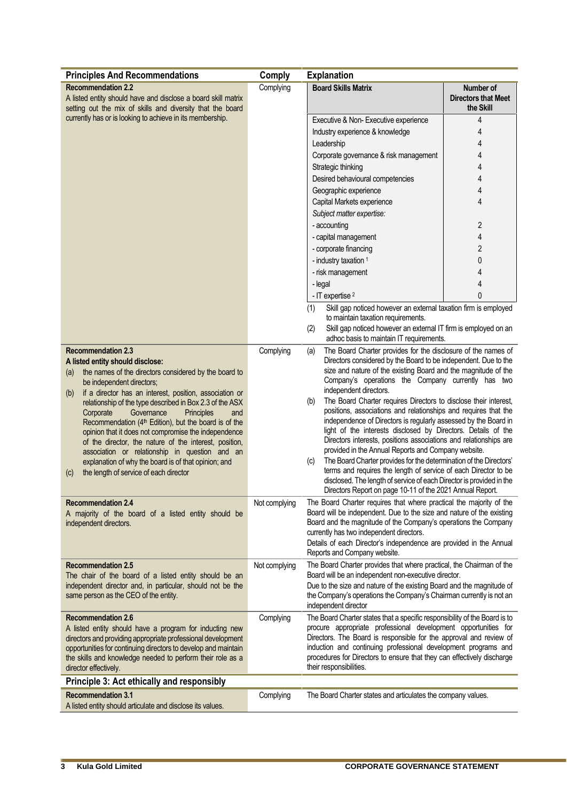|                                                                                                                                                                                                                                                                                                                                                                                                                                                                                                                                                                                                                                                                                            | <b>Comply</b> | <b>Explanation</b>                                                                                                                                                                                                                                                                                                                                                                                                                                                                                                                                                                                                                                                                                                                                                                                                                                                                                                                                                                           |                                                      |
|--------------------------------------------------------------------------------------------------------------------------------------------------------------------------------------------------------------------------------------------------------------------------------------------------------------------------------------------------------------------------------------------------------------------------------------------------------------------------------------------------------------------------------------------------------------------------------------------------------------------------------------------------------------------------------------------|---------------|----------------------------------------------------------------------------------------------------------------------------------------------------------------------------------------------------------------------------------------------------------------------------------------------------------------------------------------------------------------------------------------------------------------------------------------------------------------------------------------------------------------------------------------------------------------------------------------------------------------------------------------------------------------------------------------------------------------------------------------------------------------------------------------------------------------------------------------------------------------------------------------------------------------------------------------------------------------------------------------------|------------------------------------------------------|
| <b>Principles And Recommendations</b><br>Complying<br><b>Recommendation 2.2</b><br>A listed entity should have and disclose a board skill matrix<br>setting out the mix of skills and diversity that the board<br>currently has or is looking to achieve in its membership.                                                                                                                                                                                                                                                                                                                                                                                                                |               | <b>Board Skills Matrix</b>                                                                                                                                                                                                                                                                                                                                                                                                                                                                                                                                                                                                                                                                                                                                                                                                                                                                                                                                                                   | Number of<br><b>Directors that Meet</b><br>the Skill |
|                                                                                                                                                                                                                                                                                                                                                                                                                                                                                                                                                                                                                                                                                            |               | Executive & Non-Executive experience<br>4<br>Industry experience & knowledge<br>4<br>Leadership<br>4<br>4<br>Corporate governance & risk management<br>4<br>Strategic thinking<br>4<br>Desired behavioural competencies<br>4<br>Geographic experience<br>4<br>Capital Markets experience<br>Subject matter expertise:<br>$\overline{2}$<br>- accounting<br>4<br>- capital management<br>$\overline{2}$<br>- corporate financing<br>$\mathbf{0}$<br>- industry taxation 1<br>4<br>- risk management<br>4<br>- legal<br>- IT expertise <sup>2</sup>                                                                                                                                                                                                                                                                                                                                                                                                                                            | $\mathbf{0}$                                         |
|                                                                                                                                                                                                                                                                                                                                                                                                                                                                                                                                                                                                                                                                                            |               | Skill gap noticed however an external taxation firm is employed<br>(1)<br>to maintain taxation requirements.<br>Skill gap noticed however an external IT firm is employed on an<br>(2)<br>adhoc basis to maintain IT requirements.                                                                                                                                                                                                                                                                                                                                                                                                                                                                                                                                                                                                                                                                                                                                                           |                                                      |
| <b>Recommendation 2.3</b><br>A listed entity should disclose:<br>the names of the directors considered by the board to<br>(a)<br>be independent directors;<br>if a director has an interest, position, association or<br>(b)<br>relationship of the type described in Box 2.3 of the ASX<br>Corporate<br>Governance<br>Principles<br>and<br>Recommendation (4 <sup>th</sup> Edition), but the board is of the<br>opinion that it does not compromise the independence<br>of the director, the nature of the interest, position,<br>association or relationship in question and an<br>explanation of why the board is of that opinion; and<br>the length of service of each director<br>(c) | Complying     | The Board Charter provides for the disclosure of the names of<br>(a)<br>Directors considered by the Board to be independent. Due to the<br>size and nature of the existing Board and the magnitude of the<br>Company's operations the Company currently has two<br>independent directors.<br>The Board Charter requires Directors to disclose their interest,<br>(b)<br>positions, associations and relationships and requires that the<br>independence of Directors is regularly assessed by the Board in<br>light of the interests disclosed by Directors. Details of the<br>Directors interests, positions associations and relationships are<br>provided in the Annual Reports and Company website.<br>The Board Charter provides for the determination of the Directors'<br>(c)<br>terms and requires the length of service of each Director to be<br>disclosed. The length of service of each Director is provided in the<br>Directors Report on page 10-11 of the 2021 Annual Report. |                                                      |
| <b>Recommendation 2.4</b><br>A majority of the board of a listed entity should be<br>independent directors.                                                                                                                                                                                                                                                                                                                                                                                                                                                                                                                                                                                | Not complying | The Board Charter requires that where practical the majority of the<br>Board will be independent. Due to the size and nature of the existing<br>Board and the magnitude of the Company's operations the Company<br>currently has two independent directors.<br>Details of each Director's independence are provided in the Annual<br>Reports and Company website.                                                                                                                                                                                                                                                                                                                                                                                                                                                                                                                                                                                                                            |                                                      |
| <b>Recommendation 2.5</b><br>The chair of the board of a listed entity should be an<br>independent director and, in particular, should not be the<br>same person as the CEO of the entity.                                                                                                                                                                                                                                                                                                                                                                                                                                                                                                 | Not complying | The Board Charter provides that where practical, the Chairman of the<br>Board will be an independent non-executive director.<br>Due to the size and nature of the existing Board and the magnitude of<br>the Company's operations the Company's Chairman currently is not an<br>independent director                                                                                                                                                                                                                                                                                                                                                                                                                                                                                                                                                                                                                                                                                         |                                                      |
| <b>Recommendation 2.6</b><br>A listed entity should have a program for inducting new<br>directors and providing appropriate professional development<br>opportunities for continuing directors to develop and maintain<br>the skills and knowledge needed to perform their role as a<br>director effectively.                                                                                                                                                                                                                                                                                                                                                                              | Complying     | The Board Charter states that a specific responsibility of the Board is to<br>procure appropriate professional development opportunities for<br>Directors. The Board is responsible for the approval and review of<br>induction and continuing professional development programs and<br>procedures for Directors to ensure that they can effectively discharge<br>their responsibilities.                                                                                                                                                                                                                                                                                                                                                                                                                                                                                                                                                                                                    |                                                      |
| Principle 3: Act ethically and responsibly                                                                                                                                                                                                                                                                                                                                                                                                                                                                                                                                                                                                                                                 |               |                                                                                                                                                                                                                                                                                                                                                                                                                                                                                                                                                                                                                                                                                                                                                                                                                                                                                                                                                                                              |                                                      |
| <b>Recommendation 3.1</b><br>A listed entity should articulate and disclose its values.                                                                                                                                                                                                                                                                                                                                                                                                                                                                                                                                                                                                    | Complying     | The Board Charter states and articulates the company values.                                                                                                                                                                                                                                                                                                                                                                                                                                                                                                                                                                                                                                                                                                                                                                                                                                                                                                                                 |                                                      |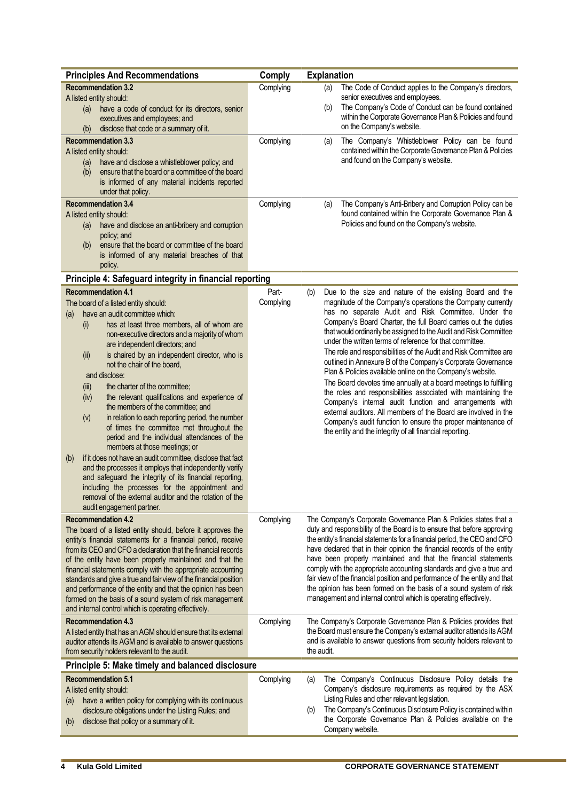| <b>Principles And Recommendations</b>                                                                                                                                                                                                                                                                                                                                                                                                                                                                                                                                                                                                                                                                                                                                                                                                                                                                                                                                                                                               | Comply                              | <b>Explanation</b>                                                                                                                                                                                                                                                                                                                                                                                                                                                                                                                                                                                                                                                                                                                                                                                                                                                                                                                                                                           |
|-------------------------------------------------------------------------------------------------------------------------------------------------------------------------------------------------------------------------------------------------------------------------------------------------------------------------------------------------------------------------------------------------------------------------------------------------------------------------------------------------------------------------------------------------------------------------------------------------------------------------------------------------------------------------------------------------------------------------------------------------------------------------------------------------------------------------------------------------------------------------------------------------------------------------------------------------------------------------------------------------------------------------------------|-------------------------------------|----------------------------------------------------------------------------------------------------------------------------------------------------------------------------------------------------------------------------------------------------------------------------------------------------------------------------------------------------------------------------------------------------------------------------------------------------------------------------------------------------------------------------------------------------------------------------------------------------------------------------------------------------------------------------------------------------------------------------------------------------------------------------------------------------------------------------------------------------------------------------------------------------------------------------------------------------------------------------------------------|
| <b>Recommendation 3.2</b><br>A listed entity should:<br>have a code of conduct for its directors, senior<br>(a)<br>executives and employees; and<br>disclose that code or a summary of it.<br>(b)<br><b>Recommendation 3.3</b><br>A listed entity should:<br>have and disclose a whistleblower policy; and<br>(a)<br>ensure that the board or a committee of the board<br>(b)<br>is informed of any material incidents reported<br>under that policy.<br><b>Recommendation 3.4</b>                                                                                                                                                                                                                                                                                                                                                                                                                                                                                                                                                  | Complying<br>Complying<br>Complying | The Code of Conduct applies to the Company's directors,<br>(a)<br>senior executives and employees.<br>The Company's Code of Conduct can be found contained<br>(b)<br>within the Corporate Governance Plan & Policies and found<br>on the Company's website.<br>The Company's Whistleblower Policy can be found<br>(a)<br>contained within the Corporate Governance Plan & Policies<br>and found on the Company's website.<br>The Company's Anti-Bribery and Corruption Policy can be<br>(a)                                                                                                                                                                                                                                                                                                                                                                                                                                                                                                  |
| A listed entity should:<br>have and disclose an anti-bribery and corruption<br>(a)<br>policy; and<br>ensure that the board or committee of the board<br>(b)<br>is informed of any material breaches of that<br>policy.                                                                                                                                                                                                                                                                                                                                                                                                                                                                                                                                                                                                                                                                                                                                                                                                              |                                     | found contained within the Corporate Governance Plan &<br>Policies and found on the Company's website.                                                                                                                                                                                                                                                                                                                                                                                                                                                                                                                                                                                                                                                                                                                                                                                                                                                                                       |
| Principle 4: Safeguard integrity in financial reporting                                                                                                                                                                                                                                                                                                                                                                                                                                                                                                                                                                                                                                                                                                                                                                                                                                                                                                                                                                             |                                     |                                                                                                                                                                                                                                                                                                                                                                                                                                                                                                                                                                                                                                                                                                                                                                                                                                                                                                                                                                                              |
| <b>Recommendation 4.1</b><br>The board of a listed entity should:<br>have an audit committee which:<br>(a)<br>has at least three members, all of whom are<br>(i)<br>non-executive directors and a majority of whom<br>are independent directors; and<br>is chaired by an independent director, who is<br>(ii)<br>not the chair of the board,<br>and disclose:<br>the charter of the committee;<br>(iii)<br>the relevant qualifications and experience of<br>(iv)<br>the members of the committee; and<br>in relation to each reporting period, the number<br>(v)<br>of times the committee met throughout the<br>period and the individual attendances of the<br>members at those meetings; or<br>if it does not have an audit committee, disclose that fact<br>(b)<br>and the processes it employs that independently verify<br>and safeguard the integrity of its financial reporting,<br>including the processes for the appointment and<br>removal of the external auditor and the rotation of the<br>audit engagement partner. | Part-<br>Complying                  | Due to the size and nature of the existing Board and the<br>(b)<br>magnitude of the Company's operations the Company currently<br>has no separate Audit and Risk Committee. Under the<br>Company's Board Charter, the full Board carries out the duties<br>that would ordinarily be assigned to the Audit and Risk Committee<br>under the written terms of reference for that committee.<br>The role and responsibilities of the Audit and Risk Committee are<br>outlined in Annexure B of the Company's Corporate Governance<br>Plan & Policies available online on the Company's website.<br>The Board devotes time annually at a board meetings to fulfilling<br>the roles and responsibilities associated with maintaining the<br>Company's internal audit function and arrangements with<br>external auditors. All members of the Board are involved in the<br>Company's audit function to ensure the proper maintenance of<br>the entity and the integrity of all financial reporting. |
| <b>Recommendation 4.2</b><br>The board of a listed entity should, before it approves the<br>entity's financial statements for a financial period, receive<br>from its CEO and CFO a declaration that the financial records<br>of the entity have been properly maintained and that the<br>financial statements comply with the appropriate accounting<br>standards and give a true and fair view of the financial position<br>and performance of the entity and that the opinion has been<br>formed on the basis of a sound system of risk management<br>and internal control which is operating effectively.                                                                                                                                                                                                                                                                                                                                                                                                                       | Complying                           | The Company's Corporate Governance Plan & Policies states that a<br>duty and responsibility of the Board is to ensure that before approving<br>the entity's financial statements for a financial period, the CEO and CFO<br>have declared that in their opinion the financial records of the entity<br>have been properly maintained and that the financial statements<br>comply with the appropriate accounting standards and give a true and<br>fair view of the financial position and performance of the entity and that<br>the opinion has been formed on the basis of a sound system of risk<br>management and internal control which is operating effectively.                                                                                                                                                                                                                                                                                                                        |
| <b>Recommendation 4.3</b><br>A listed entity that has an AGM should ensure that its external<br>auditor attends its AGM and is available to answer questions<br>from security holders relevant to the audit.                                                                                                                                                                                                                                                                                                                                                                                                                                                                                                                                                                                                                                                                                                                                                                                                                        | Complying                           | The Company's Corporate Governance Plan & Policies provides that<br>the Board must ensure the Company's external auditor attends its AGM<br>and is available to answer questions from security holders relevant to<br>the audit.                                                                                                                                                                                                                                                                                                                                                                                                                                                                                                                                                                                                                                                                                                                                                             |
| Principle 5: Make timely and balanced disclosure                                                                                                                                                                                                                                                                                                                                                                                                                                                                                                                                                                                                                                                                                                                                                                                                                                                                                                                                                                                    |                                     |                                                                                                                                                                                                                                                                                                                                                                                                                                                                                                                                                                                                                                                                                                                                                                                                                                                                                                                                                                                              |
| <b>Recommendation 5.1</b><br>A listed entity should:<br>have a written policy for complying with its continuous<br>(a)<br>disclosure obligations under the Listing Rules; and<br>disclose that policy or a summary of it.<br>(b)                                                                                                                                                                                                                                                                                                                                                                                                                                                                                                                                                                                                                                                                                                                                                                                                    | Complying                           | The Company's Continuous Disclosure Policy details the<br>(a)<br>Company's disclosure requirements as required by the ASX<br>Listing Rules and other relevant legislation.<br>The Company's Continuous Disclosure Policy is contained within<br>(b)<br>the Corporate Governance Plan & Policies available on the<br>Company website.                                                                                                                                                                                                                                                                                                                                                                                                                                                                                                                                                                                                                                                         |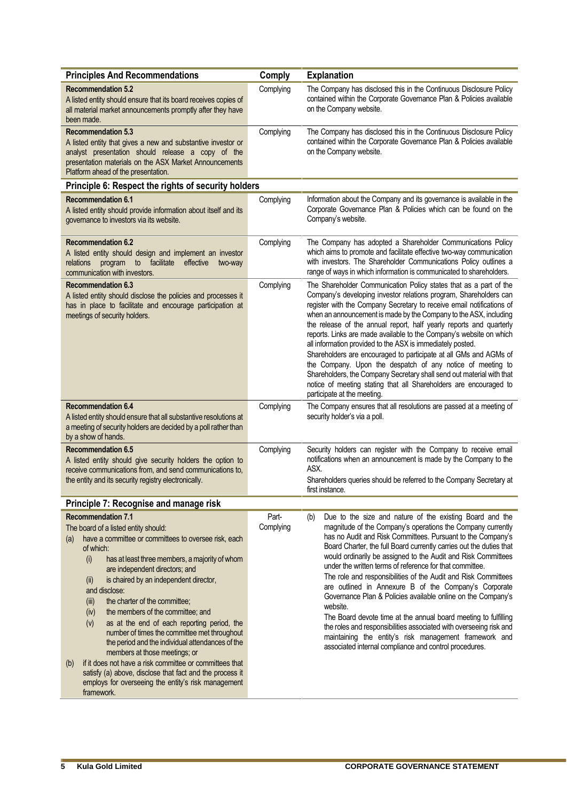| <b>Principles And Recommendations</b>                                                                                                                                                                                                                                                                                                                                                                                                                                                                                                                                                                                                                                                                                                                                                            | <b>Comply</b>      | <b>Explanation</b>                                                                                                                                                                                                                                                                                                                                                                                                                                                                                                                                                                                                                                                                                                                                                                                                                                                    |
|--------------------------------------------------------------------------------------------------------------------------------------------------------------------------------------------------------------------------------------------------------------------------------------------------------------------------------------------------------------------------------------------------------------------------------------------------------------------------------------------------------------------------------------------------------------------------------------------------------------------------------------------------------------------------------------------------------------------------------------------------------------------------------------------------|--------------------|-----------------------------------------------------------------------------------------------------------------------------------------------------------------------------------------------------------------------------------------------------------------------------------------------------------------------------------------------------------------------------------------------------------------------------------------------------------------------------------------------------------------------------------------------------------------------------------------------------------------------------------------------------------------------------------------------------------------------------------------------------------------------------------------------------------------------------------------------------------------------|
| <b>Recommendation 5.2</b><br>A listed entity should ensure that its board receives copies of<br>all material market announcements promptly after they have<br>been made.                                                                                                                                                                                                                                                                                                                                                                                                                                                                                                                                                                                                                         | Complying          | The Company has disclosed this in the Continuous Disclosure Policy<br>contained within the Corporate Governance Plan & Policies available<br>on the Company website.                                                                                                                                                                                                                                                                                                                                                                                                                                                                                                                                                                                                                                                                                                  |
| <b>Recommendation 5.3</b><br>A listed entity that gives a new and substantive investor or<br>analyst presentation should release a copy of the<br>presentation materials on the ASX Market Announcements<br>Platform ahead of the presentation.                                                                                                                                                                                                                                                                                                                                                                                                                                                                                                                                                  | Complying          | The Company has disclosed this in the Continuous Disclosure Policy<br>contained within the Corporate Governance Plan & Policies available<br>on the Company website.                                                                                                                                                                                                                                                                                                                                                                                                                                                                                                                                                                                                                                                                                                  |
| Principle 6: Respect the rights of security holders                                                                                                                                                                                                                                                                                                                                                                                                                                                                                                                                                                                                                                                                                                                                              |                    |                                                                                                                                                                                                                                                                                                                                                                                                                                                                                                                                                                                                                                                                                                                                                                                                                                                                       |
| <b>Recommendation 6.1</b><br>A listed entity should provide information about itself and its<br>governance to investors via its website.                                                                                                                                                                                                                                                                                                                                                                                                                                                                                                                                                                                                                                                         | Complying          | Information about the Company and its governance is available in the<br>Corporate Governance Plan & Policies which can be found on the<br>Company's website.                                                                                                                                                                                                                                                                                                                                                                                                                                                                                                                                                                                                                                                                                                          |
| <b>Recommendation 6.2</b><br>A listed entity should design and implement an investor<br>program to facilitate effective<br>relations<br>two-way<br>communication with investors.                                                                                                                                                                                                                                                                                                                                                                                                                                                                                                                                                                                                                 | Complying          | The Company has adopted a Shareholder Communications Policy<br>which aims to promote and facilitate effective two-way communication<br>with investors. The Shareholder Communications Policy outlines a<br>range of ways in which information is communicated to shareholders.                                                                                                                                                                                                                                                                                                                                                                                                                                                                                                                                                                                        |
| <b>Recommendation 6.3</b><br>A listed entity should disclose the policies and processes it<br>has in place to facilitate and encourage participation at<br>meetings of security holders.                                                                                                                                                                                                                                                                                                                                                                                                                                                                                                                                                                                                         | Complying          | The Shareholder Communication Policy states that as a part of the<br>Company's developing investor relations program, Shareholders can<br>register with the Company Secretary to receive email notifications of<br>when an announcement is made by the Company to the ASX, including<br>the release of the annual report, half yearly reports and quarterly<br>reports. Links are made available to the Company's website on which<br>all information provided to the ASX is immediately posted.<br>Shareholders are encouraged to participate at all GMs and AGMs of<br>the Company. Upon the despatch of any notice of meeting to<br>Shareholders, the Company Secretary shall send out material with that<br>notice of meeting stating that all Shareholders are encouraged to<br>participate at the meeting.                                                      |
| <b>Recommendation 6.4</b><br>A listed entity should ensure that all substantive resolutions at<br>a meeting of security holders are decided by a poll rather than<br>by a show of hands.                                                                                                                                                                                                                                                                                                                                                                                                                                                                                                                                                                                                         | Complying          | The Company ensures that all resolutions are passed at a meeting of<br>security holder's via a poll.                                                                                                                                                                                                                                                                                                                                                                                                                                                                                                                                                                                                                                                                                                                                                                  |
| <b>Recommendation 6.5</b><br>A listed entity should give security holders the option to<br>receive communications from, and send communications to,<br>the entity and its security registry electronically.                                                                                                                                                                                                                                                                                                                                                                                                                                                                                                                                                                                      | Complying          | Security holders can register with the Company to receive email<br>notifications when an announcement is made by the Company to the<br>ASX.<br>Shareholders queries should be referred to the Company Secretary at<br>first instance.                                                                                                                                                                                                                                                                                                                                                                                                                                                                                                                                                                                                                                 |
| Principle 7: Recognise and manage risk                                                                                                                                                                                                                                                                                                                                                                                                                                                                                                                                                                                                                                                                                                                                                           |                    |                                                                                                                                                                                                                                                                                                                                                                                                                                                                                                                                                                                                                                                                                                                                                                                                                                                                       |
| <b>Recommendation 7.1</b><br>The board of a listed entity should:<br>have a committee or committees to oversee risk, each<br>(a)<br>of which:<br>(i)<br>has at least three members, a majority of whom<br>are independent directors; and<br>is chaired by an independent director,<br>(ii)<br>and disclose:<br>(iii)<br>the charter of the committee;<br>the members of the committee; and<br>(iv)<br>(v)<br>as at the end of each reporting period, the<br>number of times the committee met throughout<br>the period and the individual attendances of the<br>members at those meetings; or<br>if it does not have a risk committee or committees that<br>(b)<br>satisfy (a) above, disclose that fact and the process it<br>employs for overseeing the entity's risk management<br>framework. | Part-<br>Complying | Due to the size and nature of the existing Board and the<br>(b)<br>magnitude of the Company's operations the Company currently<br>has no Audit and Risk Committees. Pursuant to the Company's<br>Board Charter, the full Board currently carries out the duties that<br>would ordinarily be assigned to the Audit and Risk Committees<br>under the written terms of reference for that committee.<br>The role and responsibilities of the Audit and Risk Committees<br>are outlined in Annexure B of the Company's Corporate<br>Governance Plan & Policies available online on the Company's<br>website.<br>The Board devote time at the annual board meeting to fulfilling<br>the roles and responsibilities associated with overseeing risk and<br>maintaining the entity's risk management framework and<br>associated internal compliance and control procedures. |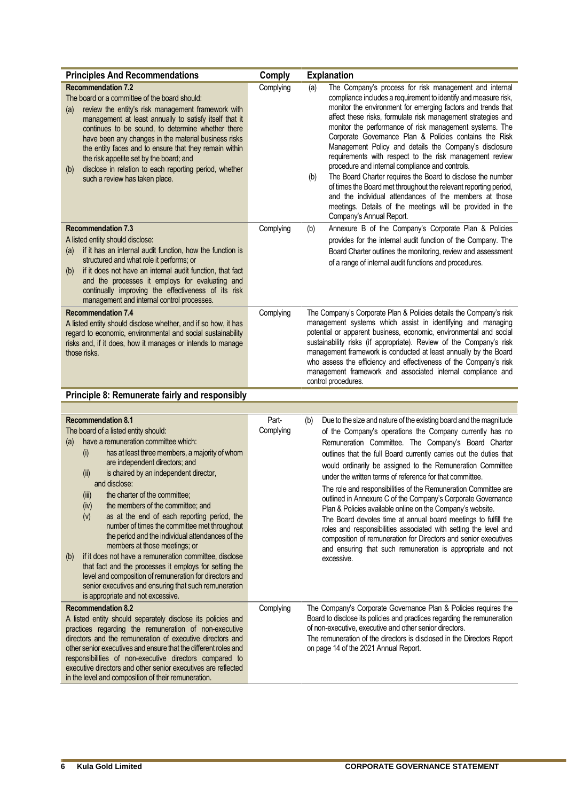| <b>Principles And Recommendations</b><br><b>Recommendation 7.2</b><br>The board or a committee of the board should:<br>review the entity's risk management framework with<br>(a)<br>management at least annually to satisfy itself that it<br>continues to be sound, to determine whether there<br>have been any changes in the material business risks<br>the entity faces and to ensure that they remain within<br>the risk appetite set by the board; and<br>disclose in relation to each reporting period, whether<br>(b)<br>such a review has taken place.                                                                                                                                                                                                                                                                                      | Comply<br>Complying | <b>Explanation</b><br>The Company's process for risk management and internal<br>(a)<br>compliance includes a requirement to identify and measure risk,<br>monitor the environment for emerging factors and trends that<br>affect these risks, formulate risk management strategies and<br>monitor the performance of risk management systems. The<br>Corporate Governance Plan & Policies contains the Risk<br>Management Policy and details the Company's disclosure<br>requirements with respect to the risk management review<br>procedure and internal compliance and controls.<br>The Board Charter requires the Board to disclose the number<br>(b)<br>of times the Board met throughout the relevant reporting period,<br>and the individual attendances of the members at those<br>meetings. Details of the meetings will be provided in the<br>Company's Annual Report.   |
|------------------------------------------------------------------------------------------------------------------------------------------------------------------------------------------------------------------------------------------------------------------------------------------------------------------------------------------------------------------------------------------------------------------------------------------------------------------------------------------------------------------------------------------------------------------------------------------------------------------------------------------------------------------------------------------------------------------------------------------------------------------------------------------------------------------------------------------------------|---------------------|------------------------------------------------------------------------------------------------------------------------------------------------------------------------------------------------------------------------------------------------------------------------------------------------------------------------------------------------------------------------------------------------------------------------------------------------------------------------------------------------------------------------------------------------------------------------------------------------------------------------------------------------------------------------------------------------------------------------------------------------------------------------------------------------------------------------------------------------------------------------------------|
| <b>Recommendation 7.3</b><br>A listed entity should disclose:<br>if it has an internal audit function, how the function is<br>(a)<br>structured and what role it performs; or<br>if it does not have an internal audit function, that fact<br>(b)<br>and the processes it employs for evaluating and<br>continually improving the effectiveness of its risk<br>management and internal control processes.                                                                                                                                                                                                                                                                                                                                                                                                                                            | Complying           | Annexure B of the Company's Corporate Plan & Policies<br>(b)<br>provides for the internal audit function of the Company. The<br>Board Charter outlines the monitoring, review and assessment<br>of a range of internal audit functions and procedures.                                                                                                                                                                                                                                                                                                                                                                                                                                                                                                                                                                                                                             |
| <b>Recommendation 7.4</b><br>A listed entity should disclose whether, and if so how, it has<br>regard to economic, environmental and social sustainability<br>risks and, if it does, how it manages or intends to manage<br>those risks.                                                                                                                                                                                                                                                                                                                                                                                                                                                                                                                                                                                                             | Complying           | The Company's Corporate Plan & Policies details the Company's risk<br>management systems which assist in identifying and managing<br>potential or apparent business, economic, environmental and social<br>sustainability risks (if appropriate). Review of the Company's risk<br>management framework is conducted at least annually by the Board<br>who assess the efficiency and effectiveness of the Company's risk<br>management framework and associated internal compliance and<br>control procedures.                                                                                                                                                                                                                                                                                                                                                                      |
| Principle 8: Remunerate fairly and responsibly                                                                                                                                                                                                                                                                                                                                                                                                                                                                                                                                                                                                                                                                                                                                                                                                       |                     |                                                                                                                                                                                                                                                                                                                                                                                                                                                                                                                                                                                                                                                                                                                                                                                                                                                                                    |
| <b>Recommendation 8.1</b><br>The board of a listed entity should:<br>have a remuneration committee which:<br>(a)<br>has at least three members, a majority of whom<br>(i)<br>are independent directors; and<br>is chaired by an independent director,<br>(ii)<br>and disclose:<br>the charter of the committee:<br>(iii)<br>the members of the committee; and<br>(iv)<br>as at the end of each reporting period, the<br>(v)<br>number of times the committee met throughout<br>the period and the individual attendances of the<br>members at those meetings; or<br>if it does not have a remuneration committee, disclose<br>(b)<br>that fact and the processes it employs for setting the<br>level and composition of remuneration for directors and<br>senior executives and ensuring that such remuneration<br>is appropriate and not excessive. | Part-<br>Complying  | Due to the size and nature of the existing board and the magnitude<br>(b)<br>of the Company's operations the Company currently has no<br>Remuneration Committee. The Company's Board Charter<br>outlines that the full Board currently carries out the duties that<br>would ordinarily be assigned to the Remuneration Committee<br>under the written terms of reference for that committee.<br>The role and responsibilities of the Remuneration Committee are<br>outlined in Annexure C of the Company's Corporate Governance<br>Plan & Policies available online on the Company's website.<br>The Board devotes time at annual board meetings to fulfill the<br>roles and responsibilities associated with setting the level and<br>composition of remuneration for Directors and senior executives<br>and ensuring that such remuneration is appropriate and not<br>excessive. |
| <b>Recommendation 8.2</b><br>A listed entity should separately disclose its policies and<br>practices regarding the remuneration of non-executive<br>directors and the remuneration of executive directors and<br>other senior executives and ensure that the different roles and<br>responsibilities of non-executive directors compared to<br>executive directors and other senior executives are reflected<br>in the level and composition of their remuneration.                                                                                                                                                                                                                                                                                                                                                                                 | Complying           | The Company's Corporate Governance Plan & Policies requires the<br>Board to disclose its policies and practices regarding the remuneration<br>of non-executive, executive and other senior directors.<br>The remuneration of the directors is disclosed in the Directors Report<br>on page 14 of the 2021 Annual Report.                                                                                                                                                                                                                                                                                                                                                                                                                                                                                                                                                           |